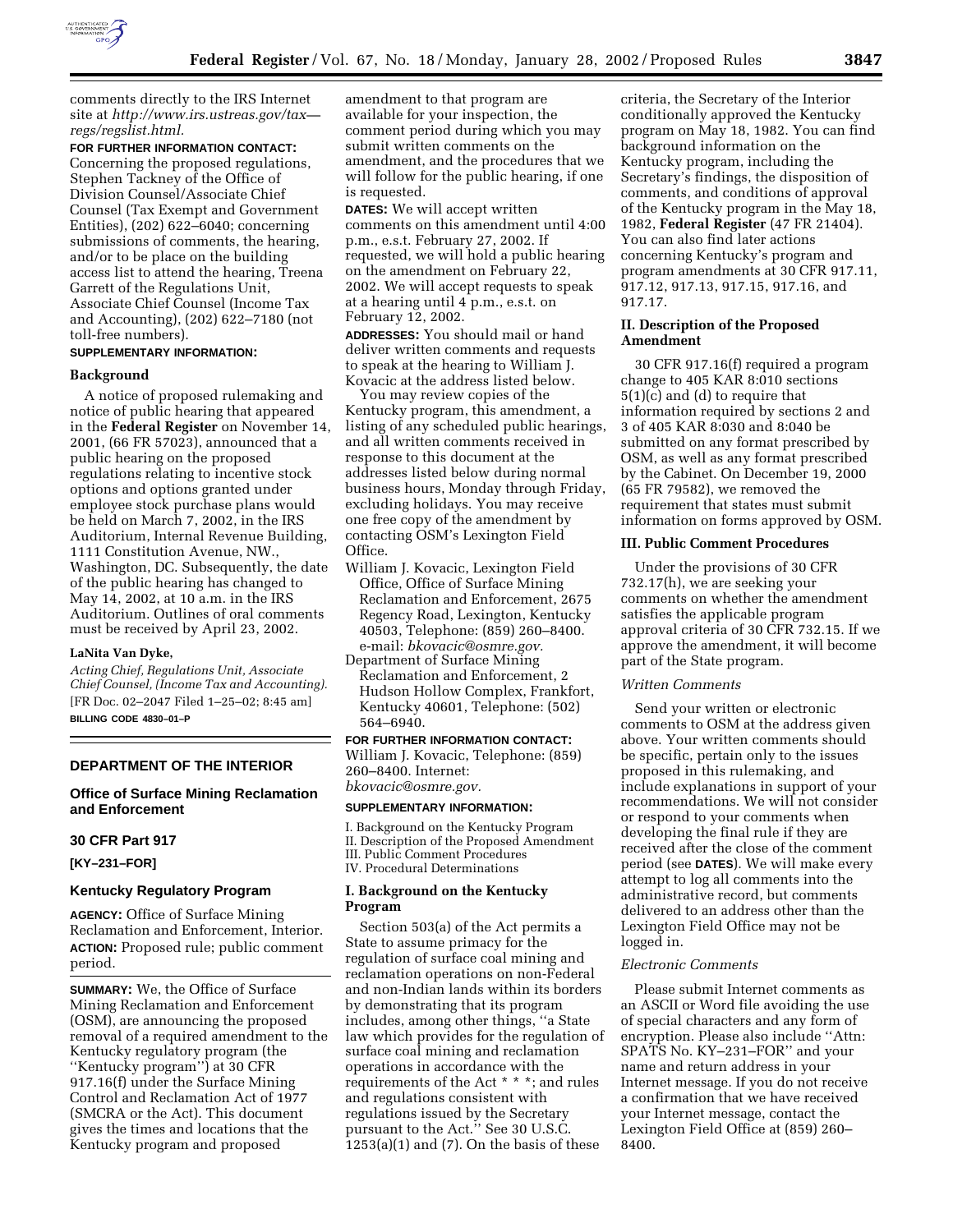

comments directly to the IRS Internet site at *http://www.irs.ustreas.gov/tax regs/regslist.html.*

#### **FOR FURTHER INFORMATION CONTACT:**

Concerning the proposed regulations, Stephen Tackney of the Office of Division Counsel/Associate Chief Counsel (Tax Exempt and Government Entities), (202) 622–6040; concerning submissions of comments, the hearing, and/or to be place on the building access list to attend the hearing, Treena Garrett of the Regulations Unit, Associate Chief Counsel (Income Tax and Accounting), (202) 622–7180 (not toll-free numbers).

# **SUPPLEMENTARY INFORMATION:**

#### **Background**

A notice of proposed rulemaking and notice of public hearing that appeared in the **Federal Register** on November 14, 2001, (66 FR 57023), announced that a public hearing on the proposed regulations relating to incentive stock options and options granted under employee stock purchase plans would be held on March 7, 2002, in the IRS Auditorium, Internal Revenue Building, 1111 Constitution Avenue, NW., Washington, DC. Subsequently, the date of the public hearing has changed to May 14, 2002, at 10 a.m. in the IRS Auditorium. Outlines of oral comments must be received by April 23, 2002.

#### **LaNita Van Dyke,**

*Acting Chief, Regulations Unit, Associate Chief Counsel, (Income Tax and Accounting).* [FR Doc. 02–2047 Filed 1–25–02; 8:45 am] **BILLING CODE 4830–01–P**

#### **DEPARTMENT OF THE INTERIOR**

# **Office of Surface Mining Reclamation and Enforcement**

### **30 CFR Part 917**

**[KY–231–FOR]**

### **Kentucky Regulatory Program**

**AGENCY:** Office of Surface Mining Reclamation and Enforcement, Interior. **ACTION:** Proposed rule; public comment period.

**SUMMARY:** We, the Office of Surface Mining Reclamation and Enforcement (OSM), are announcing the proposed removal of a required amendment to the Kentucky regulatory program (the ''Kentucky program'') at 30 CFR 917.16(f) under the Surface Mining Control and Reclamation Act of 1977 (SMCRA or the Act). This document gives the times and locations that the Kentucky program and proposed

amendment to that program are available for your inspection, the comment period during which you may submit written comments on the amendment, and the procedures that we will follow for the public hearing, if one is requested.

**DATES:** We will accept written comments on this amendment until 4:00 p.m., e.s.t. February 27, 2002. If requested, we will hold a public hearing on the amendment on February 22, 2002. We will accept requests to speak at a hearing until 4 p.m., e.s.t. on February 12, 2002.

**ADDRESSES:** You should mail or hand deliver written comments and requests to speak at the hearing to William J. Kovacic at the address listed below.

You may review copies of the Kentucky program, this amendment, a listing of any scheduled public hearings, and all written comments received in response to this document at the addresses listed below during normal business hours, Monday through Friday, excluding holidays. You may receive one free copy of the amendment by contacting OSM's Lexington Field Office.

- William J. Kovacic, Lexington Field Office, Office of Surface Mining Reclamation and Enforcement, 2675 Regency Road, Lexington, Kentucky 40503, Telephone: (859) 260–8400. e-mail: *bkovacic@osmre.gov.*
- Department of Surface Mining Reclamation and Enforcement, 2 Hudson Hollow Complex, Frankfort, Kentucky 40601, Telephone: (502) 564–6940.

# **FOR FURTHER INFORMATION CONTACT:**

William J. Kovacic, Telephone: (859) 260–8400. Internet: *bkovacic@osmre.gov.*

#### **SUPPLEMENTARY INFORMATION:**

I. Background on the Kentucky Program II. Description of the Proposed Amendment III. Public Comment Procedures

IV. Procedural Determinations

## **I. Background on the Kentucky Program**

Section 503(a) of the Act permits a State to assume primacy for the regulation of surface coal mining and reclamation operations on non-Federal and non-Indian lands within its borders by demonstrating that its program includes, among other things, ''a State law which provides for the regulation of surface coal mining and reclamation operations in accordance with the requirements of the Act \* \* \*; and rules and regulations consistent with regulations issued by the Secretary pursuant to the Act.'' See 30 U.S.C.  $1253(a)(1)$  and  $(7)$ . On the basis of these

criteria, the Secretary of the Interior conditionally approved the Kentucky program on May 18, 1982. You can find background information on the Kentucky program, including the Secretary's findings, the disposition of comments, and conditions of approval of the Kentucky program in the May 18, 1982, **Federal Register** (47 FR 21404). You can also find later actions concerning Kentucky's program and program amendments at 30 CFR 917.11, 917.12, 917.13, 917.15, 917.16, and 917.17.

### **II. Description of the Proposed Amendment**

30 CFR 917.16(f) required a program change to 405 KAR 8:010 sections 5(1)(c) and (d) to require that information required by sections 2 and 3 of 405 KAR 8:030 and 8:040 be submitted on any format prescribed by OSM, as well as any format prescribed by the Cabinet. On December 19, 2000 (65 FR 79582), we removed the requirement that states must submit information on forms approved by OSM.

#### **III. Public Comment Procedures**

Under the provisions of 30 CFR 732.17(h), we are seeking your comments on whether the amendment satisfies the applicable program approval criteria of 30 CFR 732.15. If we approve the amendment, it will become part of the State program.

### *Written Comments*

Send your written or electronic comments to OSM at the address given above. Your written comments should be specific, pertain only to the issues proposed in this rulemaking, and include explanations in support of your recommendations. We will not consider or respond to your comments when developing the final rule if they are received after the close of the comment period (see **DATES**). We will make every attempt to log all comments into the administrative record, but comments delivered to an address other than the Lexington Field Office may not be logged in.

# *Electronic Comments*

Please submit Internet comments as an ASCII or Word file avoiding the use of special characters and any form of encryption. Please also include ''Attn: SPATS No. KY–231–FOR'' and your name and return address in your Internet message. If you do not receive a confirmation that we have received your Internet message, contact the Lexington Field Office at (859) 260– 8400.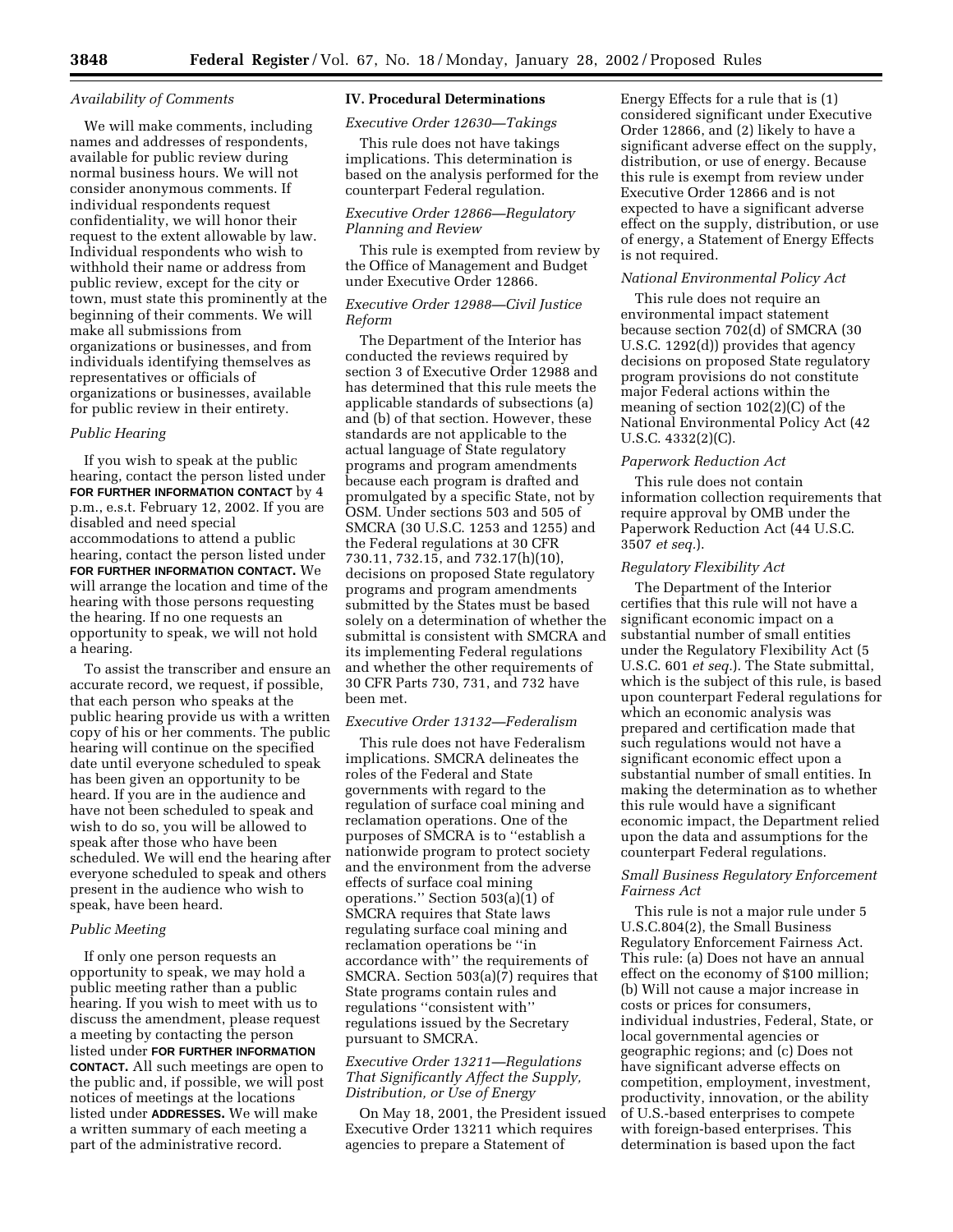### *Availability of Comments*

We will make comments, including names and addresses of respondents, available for public review during normal business hours. We will not consider anonymous comments. If individual respondents request confidentiality, we will honor their request to the extent allowable by law. Individual respondents who wish to withhold their name or address from public review, except for the city or town, must state this prominently at the beginning of their comments. We will make all submissions from organizations or businesses, and from individuals identifying themselves as representatives or officials of organizations or businesses, available for public review in their entirety.

## *Public Hearing*

If you wish to speak at the public hearing, contact the person listed under **FOR FURTHER INFORMATION CONTACT** by 4 p.m., e.s.t. February 12, 2002. If you are disabled and need special accommodations to attend a public hearing, contact the person listed under **FOR FURTHER INFORMATION CONTACT.** We will arrange the location and time of the hearing with those persons requesting the hearing. If no one requests an opportunity to speak, we will not hold a hearing.

To assist the transcriber and ensure an accurate record, we request, if possible, that each person who speaks at the public hearing provide us with a written copy of his or her comments. The public hearing will continue on the specified date until everyone scheduled to speak has been given an opportunity to be heard. If you are in the audience and have not been scheduled to speak and wish to do so, you will be allowed to speak after those who have been scheduled. We will end the hearing after everyone scheduled to speak and others present in the audience who wish to speak, have been heard.

### *Public Meeting*

If only one person requests an opportunity to speak, we may hold a public meeting rather than a public hearing. If you wish to meet with us to discuss the amendment, please request a meeting by contacting the person listed under **FOR FURTHER INFORMATION CONTACT.** All such meetings are open to the public and, if possible, we will post notices of meetings at the locations listed under **ADDRESSES.** We will make a written summary of each meeting a part of the administrative record.

# **IV. Procedural Determinations**

# *Executive Order 12630—Takings*

This rule does not have takings implications. This determination is based on the analysis performed for the counterpart Federal regulation.

# *Executive Order 12866—Regulatory Planning and Review*

This rule is exempted from review by the Office of Management and Budget under Executive Order 12866.

# *Executive Order 12988—Civil Justice Reform*

The Department of the Interior has conducted the reviews required by section 3 of Executive Order 12988 and has determined that this rule meets the applicable standards of subsections (a) and (b) of that section. However, these standards are not applicable to the actual language of State regulatory programs and program amendments because each program is drafted and promulgated by a specific State, not by OSM. Under sections 503 and 505 of SMCRA (30 U.S.C. 1253 and 1255) and the Federal regulations at 30 CFR 730.11, 732.15, and 732.17(h)(10), decisions on proposed State regulatory programs and program amendments submitted by the States must be based solely on a determination of whether the submittal is consistent with SMCRA and its implementing Federal regulations and whether the other requirements of 30 CFR Parts 730, 731, and 732 have been met.

### *Executive Order 13132—Federalism*

This rule does not have Federalism implications. SMCRA delineates the roles of the Federal and State governments with regard to the regulation of surface coal mining and reclamation operations. One of the purposes of SMCRA is to ''establish a nationwide program to protect society and the environment from the adverse effects of surface coal mining operations.'' Section 503(a)(1) of SMCRA requires that State laws regulating surface coal mining and reclamation operations be ''in accordance with'' the requirements of SMCRA. Section 503(a)(7) requires that State programs contain rules and regulations ''consistent with'' regulations issued by the Secretary pursuant to SMCRA.

# *Executive Order 13211—Regulations That Significantly Affect the Supply, Distribution, or Use of Energy*

On May 18, 2001, the President issued Executive Order 13211 which requires agencies to prepare a Statement of

Energy Effects for a rule that is (1) considered significant under Executive Order 12866, and (2) likely to have a significant adverse effect on the supply, distribution, or use of energy. Because this rule is exempt from review under Executive Order 12866 and is not expected to have a significant adverse effect on the supply, distribution, or use of energy, a Statement of Energy Effects is not required.

#### *National Environmental Policy Act*

This rule does not require an environmental impact statement because section 702(d) of SMCRA (30 U.S.C. 1292(d)) provides that agency decisions on proposed State regulatory program provisions do not constitute major Federal actions within the meaning of section 102(2)(C) of the National Environmental Policy Act (42 U.S.C. 4332(2)(C).

#### *Paperwork Reduction Act*

This rule does not contain information collection requirements that require approval by OMB under the Paperwork Reduction Act (44 U.S.C. 3507 *et seq.*).

### *Regulatory Flexibility Act*

The Department of the Interior certifies that this rule will not have a significant economic impact on a substantial number of small entities under the Regulatory Flexibility Act (5 U.S.C. 601 *et seq.*). The State submittal, which is the subject of this rule, is based upon counterpart Federal regulations for which an economic analysis was prepared and certification made that such regulations would not have a significant economic effect upon a substantial number of small entities. In making the determination as to whether this rule would have a significant economic impact, the Department relied upon the data and assumptions for the counterpart Federal regulations.

# *Small Business Regulatory Enforcement Fairness Act*

This rule is not a major rule under 5 U.S.C.804(2), the Small Business Regulatory Enforcement Fairness Act. This rule: (a) Does not have an annual effect on the economy of \$100 million; (b) Will not cause a major increase in costs or prices for consumers, individual industries, Federal, State, or local governmental agencies or geographic regions; and (c) Does not have significant adverse effects on competition, employment, investment, productivity, innovation, or the ability of U.S.-based enterprises to compete with foreign-based enterprises. This determination is based upon the fact